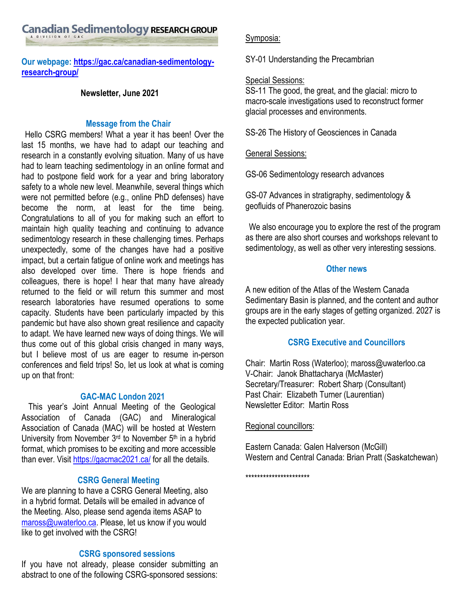Canadian Sedimentology RESEARCH GROUP

**Our webpage[: https://gac.ca/canadian-sedimentology](https://gac.ca/canadian-sedimentology-research-group/)[research-group/](https://gac.ca/canadian-sedimentology-research-group/)**

# **Newsletter, June 2021**

## **Message from the Chair**

Hello CSRG members! What a year it has been! Over the last 15 months, we have had to adapt our teaching and research in a constantly evolving situation. Many of us have had to learn teaching sedimentology in an online format and had to postpone field work for a year and bring laboratory safety to a whole new level. Meanwhile, several things which were not permitted before (e.g., online PhD defenses) have become the norm, at least for the time being. Congratulations to all of you for making such an effort to maintain high quality teaching and continuing to advance sedimentology research in these challenging times. Perhaps unexpectedly, some of the changes have had a positive impact, but a certain fatigue of online work and meetings has also developed over time. There is hope friends and colleagues, there is hope! I hear that many have already returned to the field or will return this summer and most research laboratories have resumed operations to some capacity. Students have been particularly impacted by this pandemic but have also shown great resilience and capacity to adapt. We have learned new ways of doing things. We will thus come out of this global crisis changed in many ways, but I believe most of us are eager to resume in-person conferences and field trips! So, let us look at what is coming up on that front:

## **GAC-MAC London 2021**

This year's Joint Annual Meeting of the Geological Association of Canada (GAC) and Mineralogical Association of Canada (MAC) will be hosted at Western University from November  $3<sup>rd</sup>$  to November  $5<sup>th</sup>$  in a hybrid format, which promises to be exciting and more accessible than ever. Visit<https://gacmac2021.ca/> for all the details.

# **CSRG General Meeting**

We are planning to have a CSRG General Meeting, also in a hybrid format. Details will be emailed in advance of the Meeting. Also, please send agenda items ASAP to [maross@uwaterloo.ca.](mailto:maross@uwaterloo.ca) Please, let us know if you would like to get involved with the CSRG!

# **CSRG sponsored sessions**

If you have not already, please consider submitting an abstract to one of the following CSRG-sponsored sessions:

## Symposia:

SY-01 Understanding the Precambrian

# Special Sessions:

SS-11 The good, the great, and the glacial: micro to macro-scale investigations used to reconstruct former glacial processes and environments.

SS-26 The History of Geosciences in Canada

General Sessions:

GS-06 Sedimentology research advances

GS-07 Advances in stratigraphy, sedimentology & geofluids of Phanerozoic basins

We also encourage you to explore the rest of the program as there are also short courses and workshops relevant to sedimentology, as well as other very interesting sessions.

## **Other news**

A new edition of the Atlas of the Western Canada Sedimentary Basin is planned, and the content and author groups are in the early stages of getting organized. 2027 is the expected publication year.

# **CSRG Executive and Councillors**

Chair: Martin Ross (Waterloo); maross@uwaterloo.ca V-Chair: Janok Bhattacharya (McMaster) Secretary/Treasurer: Robert Sharp (Consultant) Past Chair: Elizabeth Turner (Laurentian) Newsletter Editor: Martin Ross

## Regional councillors:

Eastern Canada: Galen Halverson (McGill) Western and Central Canada: Brian Pratt (Saskatchewan)

\*\*\*\*\*\*\*\*\*\*\*\*\*\*\*\*\*\*\*\*\*\*